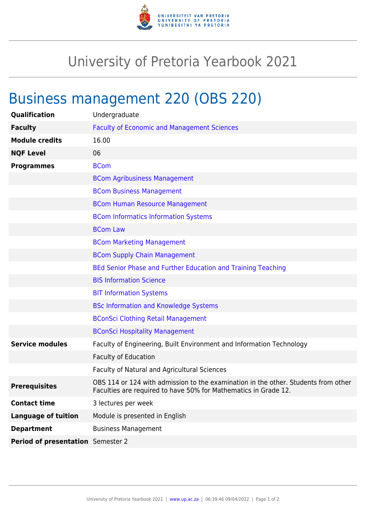

## University of Pretoria Yearbook 2021

## Business management 220 (OBS 220)

| <b>Qualification</b>              | Undergraduate                                                                                                                                         |
|-----------------------------------|-------------------------------------------------------------------------------------------------------------------------------------------------------|
| <b>Faculty</b>                    | <b>Faculty of Economic and Management Sciences</b>                                                                                                    |
| <b>Module credits</b>             | 16.00                                                                                                                                                 |
| <b>NQF Level</b>                  | 06                                                                                                                                                    |
| <b>Programmes</b>                 | <b>BCom</b>                                                                                                                                           |
|                                   | <b>BCom Agribusiness Management</b>                                                                                                                   |
|                                   | <b>BCom Business Management</b>                                                                                                                       |
|                                   | <b>BCom Human Resource Management</b>                                                                                                                 |
|                                   | <b>BCom Informatics Information Systems</b>                                                                                                           |
|                                   | <b>BCom Law</b>                                                                                                                                       |
|                                   | <b>BCom Marketing Management</b>                                                                                                                      |
|                                   | <b>BCom Supply Chain Management</b>                                                                                                                   |
|                                   | BEd Senior Phase and Further Education and Training Teaching                                                                                          |
|                                   | <b>BIS Information Science</b>                                                                                                                        |
|                                   | <b>BIT Information Systems</b>                                                                                                                        |
|                                   | <b>BSc Information and Knowledge Systems</b>                                                                                                          |
|                                   | <b>BConSci Clothing Retail Management</b>                                                                                                             |
|                                   | <b>BConSci Hospitality Management</b>                                                                                                                 |
| <b>Service modules</b>            | Faculty of Engineering, Built Environment and Information Technology                                                                                  |
|                                   | <b>Faculty of Education</b>                                                                                                                           |
|                                   | Faculty of Natural and Agricultural Sciences                                                                                                          |
| <b>Prerequisites</b>              | OBS 114 or 124 with admission to the examination in the other. Students from other<br>Faculties are required to have 50% for Mathematics in Grade 12. |
| <b>Contact time</b>               | 3 lectures per week                                                                                                                                   |
| <b>Language of tuition</b>        | Module is presented in English                                                                                                                        |
| <b>Department</b>                 | <b>Business Management</b>                                                                                                                            |
| Period of presentation Semester 2 |                                                                                                                                                       |